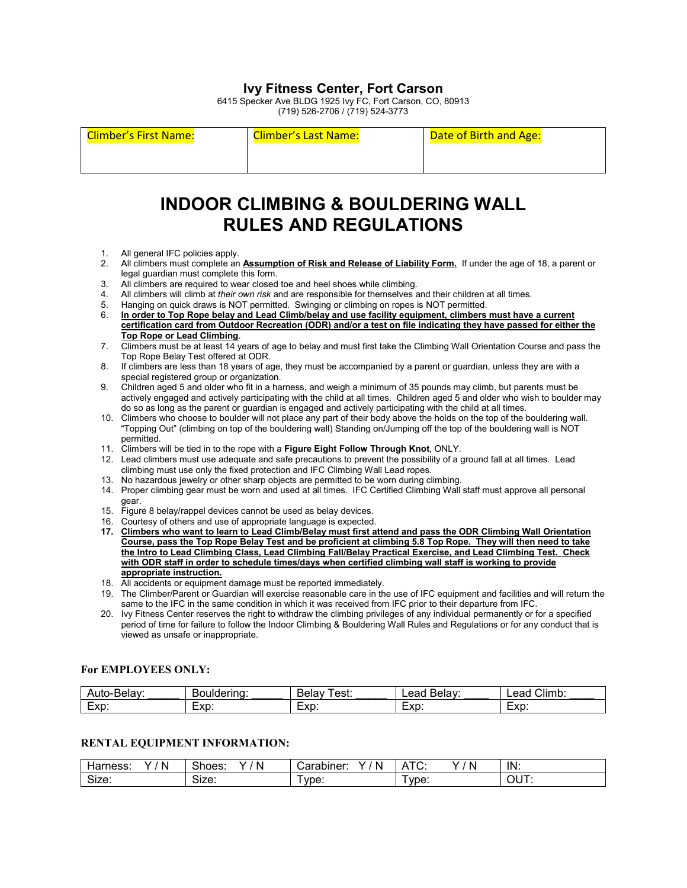### **Ivy Fitness Center, Fort Carson**

6415 Specker Ave BLDG 1925 Ivy FC, Fort Carson, CO, 80913 (719) 526-2706 / (719) 524-3773

Climber's First Name: Climber's Last Name: Date of Birth and Age:

## **INDOOR CLIMBING & BOULDERING WALL RULES AND REGULATIONS**

- 1. All general IFC policies apply.<br>2. All climbers must complete an
- 2. All climbers must complete an **Assumption of Risk and Release of Liability Form.** If under the age of 18, a parent or legal guardian must complete this form.
- 3. All climbers are required to wear closed toe and heel shoes while climbing.
- 4. All climbers will climb at *their own risk* and are responsible for themselves and their children at all times.
- 5. Hanging on quick draws is NOT permitted. Swinging or climbing on ropes is NOT permitted.
- 6. **In order to Top Rope belay and Lead Climb/belay and use facility equipment, climbers must have a current certification card from Outdoor Recreation (ODR) and/or a test on file indicating they have passed for either the Top Rope or Lead Climbing**.
- 7. Climbers must be at least 14 years of age to belay and must first take the Climbing Wall Orientation Course and pass the Top Rope Belay Test offered at ODR.
- 8. If climbers are less than 18 years of age, they must be accompanied by a parent or guardian, unless they are with a special registered group or organization.
- 9. Children aged 5 and older who fit in a harness, and weigh a minimum of 35 pounds may climb, but parents must be actively engaged and actively participating with the child at all times. Children aged 5 and older who wish to boulder may do so as long as the parent or guardian is engaged and actively participating with the child at all times.
- 10. Climbers who choose to boulder will not place any part of their body above the holds on the top of the bouldering wall. "Topping Out" (climbing on top of the bouldering wall) Standing on/Jumping off the top of the bouldering wall is NOT permitted.
- 11. Climbers will be tied in to the rope with a **Figure Eight Follow Through Knot**, ONLY.
- 12. Lead climbers must use adequate and safe precautions to prevent the possibility of a ground fall at all times. Lead climbing must use only the fixed protection and IFC Climbing Wall Lead ropes.
- 13. No hazardous jewelry or other sharp objects are permitted to be worn during climbing.
- 14. Proper climbing gear must be worn and used at all times. IFC Certified Climbing Wall staff must approve all personal gear.
- 15. Figure 8 belay/rappel devices cannot be used as belay devices.
- 16. Courtesy of others and use of appropriate language is expected.
- **17. Climbers who want to learn to Lead Climb/Belay must first attend and pass the ODR Climbing Wall Orientation Course, pass the Top Rope Belay Test and be proficient at climbing 5.8 Top Rope. They will then need to take the Intro to Lead Climbing Class, Lead Climbing Fall/Belay Practical Exercise, and Lead Climbing Test. Check with ODR staff in order to schedule times/days when certified climbing wall staff is working to provide appropriate instruction.**
- 18. All accidents or equipment damage must be reported immediately.
- 19. The Climber/Parent or Guardian will exercise reasonable care in the use of IFC equipment and facilities and will return the same to the IFC in the same condition in which it was received from IFC prior to their departure from IFC.
- 20. Ivy Fitness Center reserves the right to withdraw the climbing privileges of any individual permanently or for a specified period of time for failure to follow the Indoor Climbing & Bouldering Wall Rules and Regulations or for any conduct that is viewed as unsafe or inappropriate.

### **For EMPLOYEES ONLY:**

|                                         | -<br>------- | est.<br>Dela<br>עו         | eac<br>10111<br>∼<br>.<br>-- | <br>$\sim$<br>л<br>- - 1<br>- - |
|-----------------------------------------|--------------|----------------------------|------------------------------|---------------------------------|
| $\overline{\phantom{0}}$<br>.vn<br>∟∧⊌. | $-vr$<br>∟∧ພ | $-10o$<br>$-\wedge \vDash$ | $-vr$<br>LAP.                | .vn<br>∟∧ມ                      |

### **RENTAL EQUIPMENT INFORMATION:**

| $\sqrt{2}$<br>arness:<br>N<br>v<br>¬а∟ | Shoes:<br>$\cdots$<br>N | . .<br>N<br>arabıner:<br>. | N<br>--<br>`<br>$\cdots$<br>ັ | IN:                                                                     |
|----------------------------------------|-------------------------|----------------------------|-------------------------------|-------------------------------------------------------------------------|
| $\sim$<br>-170<br>.ס⊿וט                | $\sim$<br>י מדי<br>אוט. | vpe:                       | vpe:                          | $\sim$<br>$\sim$<br>וו<br>◡<br>$\mathbf{r}$<br>$\overline{\phantom{a}}$ |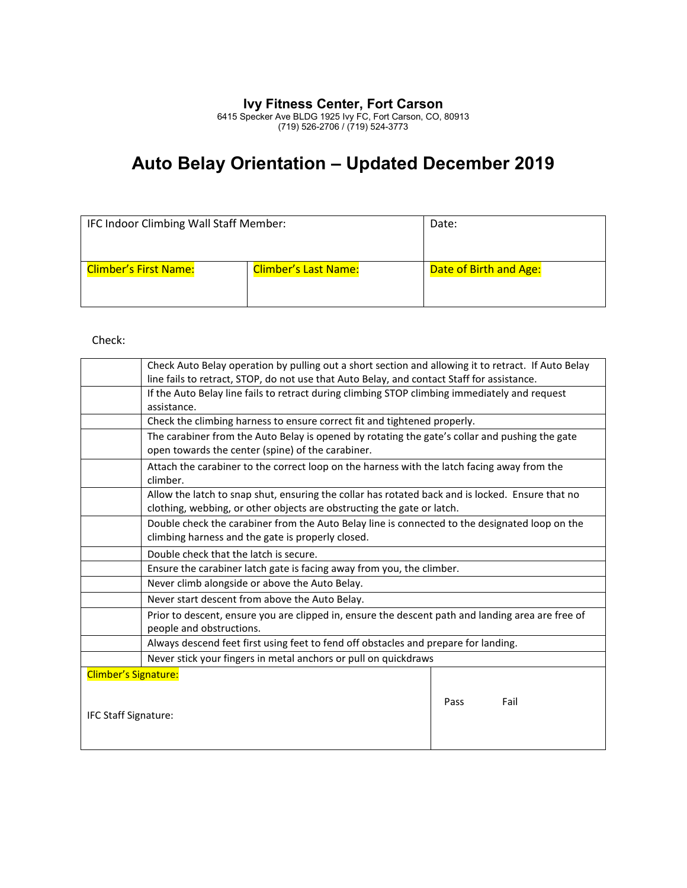### **Ivy Fitness Center, Fort Carson**

6415 Specker Ave BLDG 1925 Ivy FC, Fort Carson, CO, 80913 (719) 526-2706 / (719) 524-3773

# **Auto Belay Orientation – Updated December 2019**

| IFC Indoor Climbing Wall Staff Member: | Date:                       |                        |
|----------------------------------------|-----------------------------|------------------------|
| <b>Climber's First Name:</b>           | <b>Climber's Last Name:</b> | Date of Birth and Age: |

Check:

|                             | Check Auto Belay operation by pulling out a short section and allowing it to retract. If Auto Belay                                                 |              |  |  |
|-----------------------------|-----------------------------------------------------------------------------------------------------------------------------------------------------|--------------|--|--|
|                             | line fails to retract, STOP, do not use that Auto Belay, and contact Staff for assistance.                                                          |              |  |  |
|                             | If the Auto Belay line fails to retract during climbing STOP climbing immediately and request                                                       |              |  |  |
|                             | assistance.                                                                                                                                         |              |  |  |
|                             | Check the climbing harness to ensure correct fit and tightened properly.                                                                            |              |  |  |
|                             | The carabiner from the Auto Belay is opened by rotating the gate's collar and pushing the gate<br>open towards the center (spine) of the carabiner. |              |  |  |
|                             | Attach the carabiner to the correct loop on the harness with the latch facing away from the                                                         |              |  |  |
|                             | climber.                                                                                                                                            |              |  |  |
|                             | Allow the latch to snap shut, ensuring the collar has rotated back and is locked. Ensure that no                                                    |              |  |  |
|                             | clothing, webbing, or other objects are obstructing the gate or latch.                                                                              |              |  |  |
|                             | Double check the carabiner from the Auto Belay line is connected to the designated loop on the                                                      |              |  |  |
|                             | climbing harness and the gate is properly closed.                                                                                                   |              |  |  |
|                             | Double check that the latch is secure.                                                                                                              |              |  |  |
|                             | Ensure the carabiner latch gate is facing away from you, the climber.                                                                               |              |  |  |
|                             | Never climb alongside or above the Auto Belay.                                                                                                      |              |  |  |
|                             | Never start descent from above the Auto Belay.                                                                                                      |              |  |  |
|                             | Prior to descent, ensure you are clipped in, ensure the descent path and landing area are free of                                                   |              |  |  |
|                             | people and obstructions.                                                                                                                            |              |  |  |
|                             | Always descend feet first using feet to fend off obstacles and prepare for landing.                                                                 |              |  |  |
|                             | Never stick your fingers in metal anchors or pull on quickdraws                                                                                     |              |  |  |
| <b>Climber's Signature:</b> |                                                                                                                                                     |              |  |  |
|                             |                                                                                                                                                     |              |  |  |
|                             |                                                                                                                                                     | Pass<br>Fail |  |  |
| <b>IFC Staff Signature:</b> |                                                                                                                                                     |              |  |  |
|                             |                                                                                                                                                     |              |  |  |
|                             |                                                                                                                                                     |              |  |  |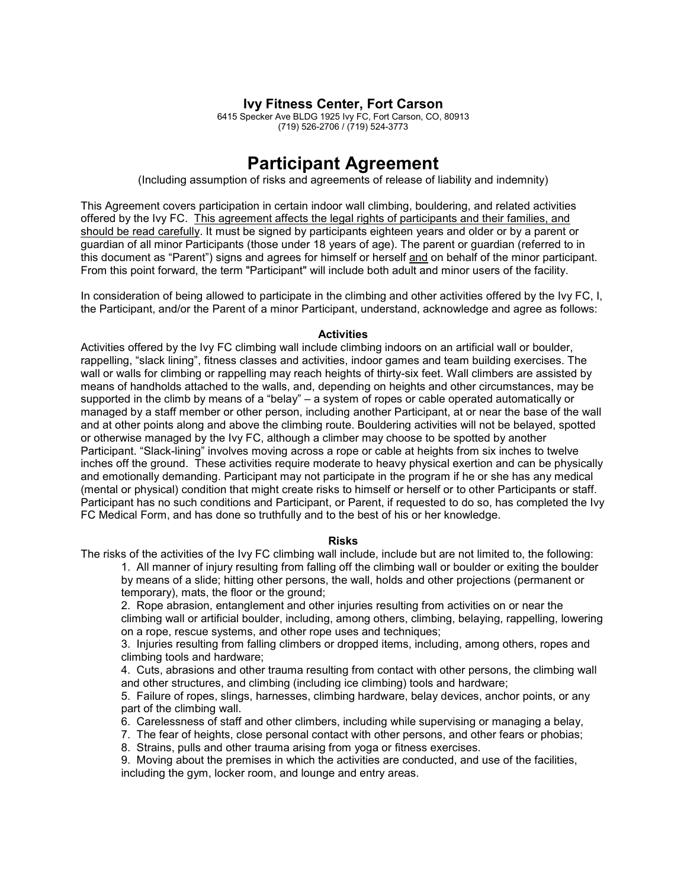### **Ivy Fitness Center, Fort Carson**

6415 Specker Ave BLDG 1925 Ivy FC, Fort Carson, CO, 80913 (719) 526-2706 / (719) 524-3773

### **Participant Agreement**

(Including assumption of risks and agreements of release of liability and indemnity)

This Agreement covers participation in certain indoor wall climbing, bouldering, and related activities offered by the Ivy FC. This agreement affects the legal rights of participants and their families, and should be read carefully. It must be signed by participants eighteen years and older or by a parent or guardian of all minor Participants (those under 18 years of age). The parent or guardian (referred to in this document as "Parent") signs and agrees for himself or herself and on behalf of the minor participant. From this point forward, the term "Participant" will include both adult and minor users of the facility.

In consideration of being allowed to participate in the climbing and other activities offered by the Ivy FC, I, the Participant, and/or the Parent of a minor Participant, understand, acknowledge and agree as follows:

#### **Activities**

Activities offered by the Ivy FC climbing wall include climbing indoors on an artificial wall or boulder, rappelling, "slack lining", fitness classes and activities, indoor games and team building exercises. The wall or walls for climbing or rappelling may reach heights of thirty-six feet. Wall climbers are assisted by means of handholds attached to the walls, and, depending on heights and other circumstances, may be supported in the climb by means of a "belay" – a system of ropes or cable operated automatically or managed by a staff member or other person, including another Participant, at or near the base of the wall and at other points along and above the climbing route. Bouldering activities will not be belayed, spotted or otherwise managed by the Ivy FC, although a climber may choose to be spotted by another Participant. "Slack-lining" involves moving across a rope or cable at heights from six inches to twelve inches off the ground. These activities require moderate to heavy physical exertion and can be physically and emotionally demanding. Participant may not participate in the program if he or she has any medical (mental or physical) condition that might create risks to himself or herself or to other Participants or staff. Participant has no such conditions and Participant, or Parent, if requested to do so, has completed the Ivy FC Medical Form, and has done so truthfully and to the best of his or her knowledge.

#### **Risks**

The risks of the activities of the Ivy FC climbing wall include, include but are not limited to, the following:

1. All manner of injury resulting from falling off the climbing wall or boulder or exiting the boulder by means of a slide; hitting other persons, the wall, holds and other projections (permanent or temporary), mats, the floor or the ground;

2. Rope abrasion, entanglement and other injuries resulting from activities on or near the climbing wall or artificial boulder, including, among others, climbing, belaying, rappelling, lowering on a rope, rescue systems, and other rope uses and techniques;

3. Injuries resulting from falling climbers or dropped items, including, among others, ropes and climbing tools and hardware;

4. Cuts, abrasions and other trauma resulting from contact with other persons, the climbing wall and other structures, and climbing (including ice climbing) tools and hardware;

5. Failure of ropes, slings, harnesses, climbing hardware, belay devices, anchor points, or any part of the climbing wall.

6. Carelessness of staff and other climbers, including while supervising or managing a belay,

7. The fear of heights, close personal contact with other persons, and other fears or phobias;

8. Strains, pulls and other trauma arising from yoga or fitness exercises.

9. Moving about the premises in which the activities are conducted, and use of the facilities, including the gym, locker room, and lounge and entry areas.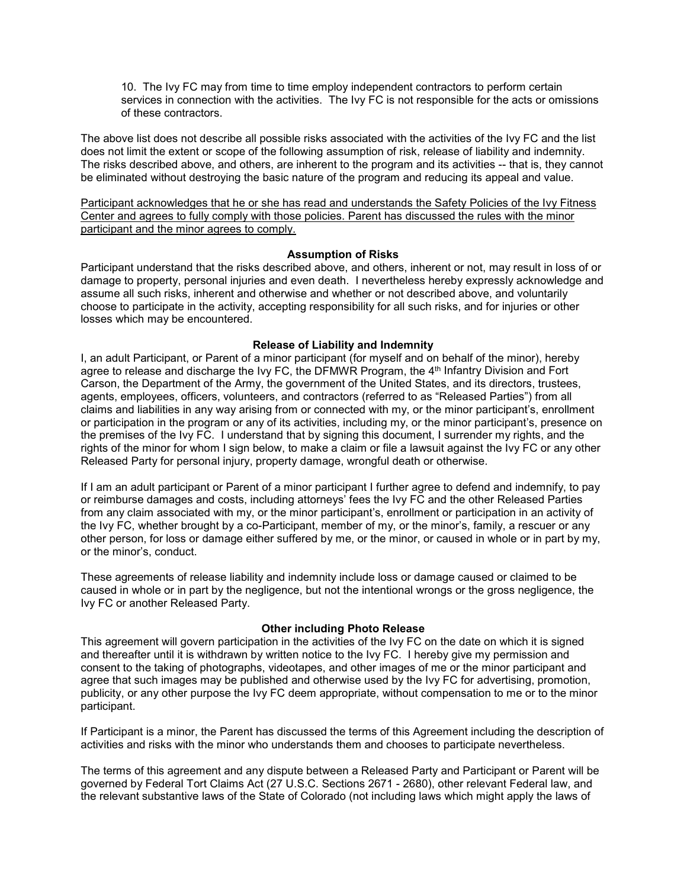10. The Ivy FC may from time to time employ independent contractors to perform certain services in connection with the activities. The Ivy FC is not responsible for the acts or omissions of these contractors.

The above list does not describe all possible risks associated with the activities of the Ivy FC and the list does not limit the extent or scope of the following assumption of risk, release of liability and indemnity. The risks described above, and others, are inherent to the program and its activities -- that is, they cannot be eliminated without destroying the basic nature of the program and reducing its appeal and value.

Participant acknowledges that he or she has read and understands the Safety Policies of the Ivy Fitness Center and agrees to fully comply with those policies. Parent has discussed the rules with the minor participant and the minor agrees to comply.

### **Assumption of Risks**

Participant understand that the risks described above, and others, inherent or not, may result in loss of or damage to property, personal injuries and even death. I nevertheless hereby expressly acknowledge and assume all such risks, inherent and otherwise and whether or not described above, and voluntarily choose to participate in the activity, accepting responsibility for all such risks, and for injuries or other losses which may be encountered.

### **Release of Liability and Indemnity**

I, an adult Participant, or Parent of a minor participant (for myself and on behalf of the minor), hereby agree to release and discharge the Ivy FC, the DFMWR Program, the 4<sup>th</sup> Infantry Division and Fort Carson, the Department of the Army, the government of the United States, and its directors, trustees, agents, employees, officers, volunteers, and contractors (referred to as "Released Parties") from all claims and liabilities in any way arising from or connected with my, or the minor participant's, enrollment or participation in the program or any of its activities, including my, or the minor participant's, presence on the premises of the Ivy FC. I understand that by signing this document, I surrender my rights, and the rights of the minor for whom I sign below, to make a claim or file a lawsuit against the Ivy FC or any other Released Party for personal injury, property damage, wrongful death or otherwise.

If I am an adult participant or Parent of a minor participant I further agree to defend and indemnify, to pay or reimburse damages and costs, including attorneys' fees the Ivy FC and the other Released Parties from any claim associated with my, or the minor participant's, enrollment or participation in an activity of the Ivy FC, whether brought by a co-Participant, member of my, or the minor's, family, a rescuer or any other person, for loss or damage either suffered by me, or the minor, or caused in whole or in part by my, or the minor's, conduct.

These agreements of release liability and indemnity include loss or damage caused or claimed to be caused in whole or in part by the negligence, but not the intentional wrongs or the gross negligence, the Ivy FC or another Released Party.

### **Other including Photo Release**

This agreement will govern participation in the activities of the Ivy FC on the date on which it is signed and thereafter until it is withdrawn by written notice to the Ivy FC. I hereby give my permission and consent to the taking of photographs, videotapes, and other images of me or the minor participant and agree that such images may be published and otherwise used by the Ivy FC for advertising, promotion, publicity, or any other purpose the Ivy FC deem appropriate, without compensation to me or to the minor participant.

If Participant is a minor, the Parent has discussed the terms of this Agreement including the description of activities and risks with the minor who understands them and chooses to participate nevertheless.

The terms of this agreement and any dispute between a Released Party and Participant or Parent will be governed by Federal Tort Claims Act (27 U.S.C. Sections 2671 - 2680), other relevant Federal law, and the relevant substantive laws of the State of Colorado (not including laws which might apply the laws of